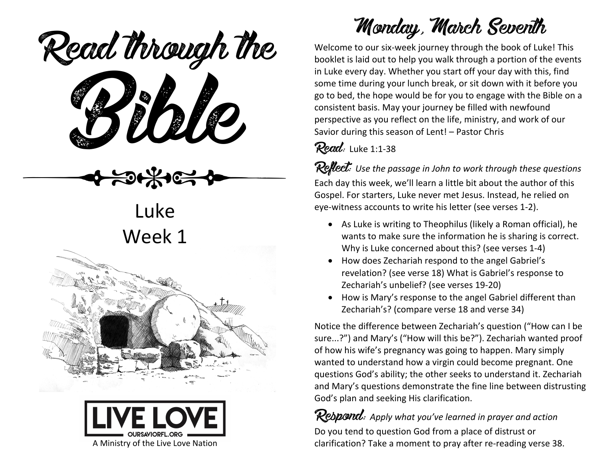Read through the



Luke Week 1





## Monday, March Seventh

Welcome to our six-week journey through the book of Luke! This booklet is laid out to help you walk through a portion of the events in Luke every day. Whether you start off your day with this, find some time during your lunch break, or sit down with it before you go to bed, the hope would be for you to engage with the Bible on a consistent basis. May your journey be filled with newfound perspective as you reflect on the life, ministry, and work of our Savior during this season of Lent! – Pastor Chris

#### Read: Luke 1:1-38

Reflect: Use the passage in John to work through these questions Each day this week, we'll learn a little bit about the author of this Gospel. For starters, Luke never met Jesus. Instead, he relied on eye-witness accounts to write his letter (see verses 1-2).

- As Luke is writing to Theophilus (likely a Roman official), he wants to make sure the information he is sharing is correct. Why is Luke concerned about this? (see verses 1-4)
- How does Zechariah respond to the angel Gabriel's revelation? (see verse 18) What is Gabriel's response to Zechariah's unbelief? (see verses 19-20)
- How is Mary's response to the angel Gabriel different than Zechariah's? (compare verse 18 and verse 34)

Notice the difference between Zechariah's question ("How can I be sure...?") and Mary's ("How will this be?"). Zechariah wanted proof of how his wife's pregnancy was going to happen. Mary simply wanted to understand how a virgin could become pregnant. One questions God's ability; the other seeks to understand it. Zechariah and Mary's questions demonstrate the fine line between distrusting God's plan and seeking His clarification.

Respond: *Apply what you've learned in prayer and action* Do you tend to question God from a place of distrust or clarification? Take a moment to pray after re-reading verse 38.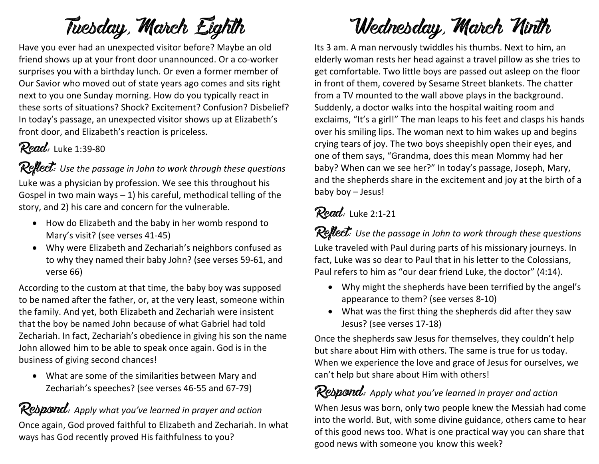# Tuesday, March Eighth

Have you ever had an unexpected visitor before? Maybe an old friend shows up at your front door unannounced. Or a co-worker surprises you with a birthday lunch. Or even a former member of Our Savior who moved out of state years ago comes and sits right next to you one Sunday morning. How do you typically react in these sorts of situations? Shock? Excitement? Confusion? Disbelief? In today's passage, an unexpected visitor shows up at Elizabeth's front door, and Elizabeth's reaction is priceless.

#### **Read:** Luke 1:39-80

Reflect: Use the passage in John to work through these questions Luke was a physician by profession. We see this throughout his Gospel in two main ways  $-1$ ) his careful, methodical telling of the story, and 2) his care and concern for the vulnerable.

- How do Elizabeth and the baby in her womb respond to Mary's visit? (see verses 41-45)
- Why were Elizabeth and Zechariah's neighbors confused as to why they named their baby John? (see verses 59-61, and verse 66)

According to the custom at that time, the baby boy was supposed to be named after the father, or, at the very least, someone within the family. And yet, both Elizabeth and Zechariah were insistent that the boy be named John because of what Gabriel had told Zechariah. In fact, Zechariah's obedience in giving his son the name John allowed him to be able to speak once again. God is in the business of giving second chances!

• What are some of the similarities between Mary and Zechariah's speeches? (see verses 46-55 and 67-79)

#### Respond: Apply what you've learned in prayer and action

Once again, God proved faithful to Elizabeth and Zechariah. In what ways has God recently proved His faithfulness to you?

## Wednesday, March Ninth

Its 3 am. A man nervously twiddles his thumbs. Next to him, an elderly woman rests her head against a travel pillow as she tries to get comfortable. Two little boys are passed out asleep on the floor in front of them, covered by Sesame Street blankets. The chatter from a TV mounted to the wall above plays in the background. Suddenly, a doctor walks into the hospital waiting room and exclaims, "It's a girl!" The man leaps to his feet and clasps his hands over his smiling lips. The woman next to him wakes up and begins crying tears of joy. The two boys sheepishly open their eyes, and one of them says, "Grandma, does this mean Mommy had her baby? When can we see her?" In today's passage, Joseph, Mary, and the shepherds share in the excitement and joy at the birth of a baby boy – Jesus!

### Read: Luke 2:1-21

Reflect: Use the passage in John to work through these questions

Luke traveled with Paul during parts of his missionary journeys. In fact, Luke was so dear to Paul that in his letter to the Colossians, Paul refers to him as "our dear friend Luke, the doctor" (4:14).

- Why might the shepherds have been terrified by the angel's appearance to them? (see verses 8-10)
- What was the first thing the shepherds did after they saw Jesus? (see verses 17-18)

Once the shepherds saw Jesus for themselves, they couldn't help but share about Him with others. The same is true for us today. When we experience the love and grace of Jesus for ourselves, we can't help but share about Him with others!

#### Rebpond: Apply what you've learned in prayer and action

When Jesus was born, only two people knew the Messiah had come into the world. But, with some divine guidance, others came to hear of this good news too. What is one practical way you can share that good news with someone you know this week?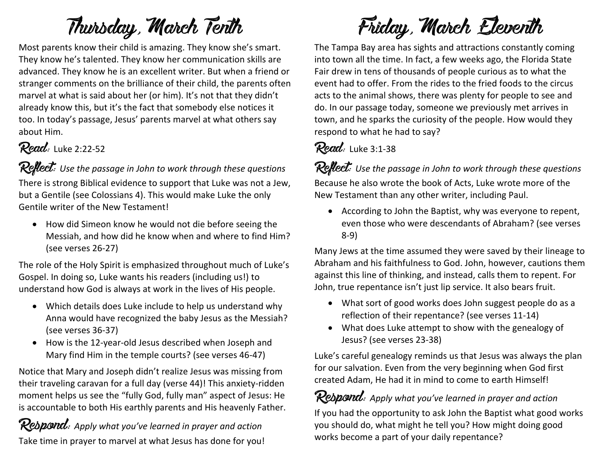### Thursday, March Tenth

Most parents know their child is amazing. They know she's smart. They know he's talented. They know her communication skills are advanced. They know he is an excellent writer. But when a friend or stranger comments on the brilliance of their child, the parents often marvel at what is said about her (or him). It's not that they didn't already know this, but it's the fact that somebody else notices it too. In today's passage, Jesus' parents marvel at what others say about Him.

#### **Read:** Luke 2:22-52

**Reflect:** Use the passage in John to work through these questions

There is strong Biblical evidence to support that Luke was not a Jew, but a Gentile (see Colossians 4). This would make Luke the only Gentile writer of the New Testament!

• How did Simeon know he would not die before seeing the Messiah, and how did he know when and where to find Him? (see verses 26-27)

The role of the Holy Spirit is emphasized throughout much of Luke's Gospel. In doing so, Luke wants his readers (including us!) to understand how God is always at work in the lives of His people.

- Which details does Luke include to help us understand why Anna would have recognized the baby Jesus as the Messiah? (see verses 36-37)
- How is the 12-year-old Jesus described when Joseph and Mary find Him in the temple courts? (see verses 46-47)

Notice that Mary and Joseph didn't realize Jesus was missing from their traveling caravan for a full day (verse 44)! This anxiety-ridden moment helps us see the "fully God, fully man" aspect of Jesus: He is accountable to both His earthly parents and His heavenly Father.

Respond: *Apply what you've learned in prayer and action* Take time in prayer to marvel at what Jesus has done for you!

Friday, March Eleventh

The Tampa Bay area has sights and attractions constantly coming into town all the time. In fact, a few weeks ago, the Florida State Fair drew in tens of thousands of people curious as to what the event had to offer. From the rides to the fried foods to the circus acts to the animal shows, there was plenty for people to see and do. In our passage today, someone we previously met arrives in town, and he sparks the curiosity of the people. How would they respond to what he had to say?

#### Read: Luke 3:1-38

Reflect: Use the passage in John to work through these questions Because he also wrote the book of Acts, Luke wrote more of the New Testament than any other writer, including Paul.

• According to John the Baptist, why was everyone to repent, even those who were descendants of Abraham? (see verses 8-9)

Many Jews at the time assumed they were saved by their lineage to Abraham and his faithfulness to God. John, however, cautions them against this line of thinking, and instead, calls them to repent. For John, true repentance isn't just lip service. It also bears fruit.

- What sort of good works does John suggest people do as a reflection of their repentance? (see verses 11-14)
- What does Luke attempt to show with the genealogy of Jesus? (see verses 23-38)

Luke's careful genealogy reminds us that Jesus was always the plan for our salvation. Even from the very beginning when God first created Adam, He had it in mind to come to earth Himself!

Respond: *Apply what you've learned in prayer and action* If you had the opportunity to ask John the Baptist what good works you should do, what might he tell you? How might doing good works become a part of your daily repentance?